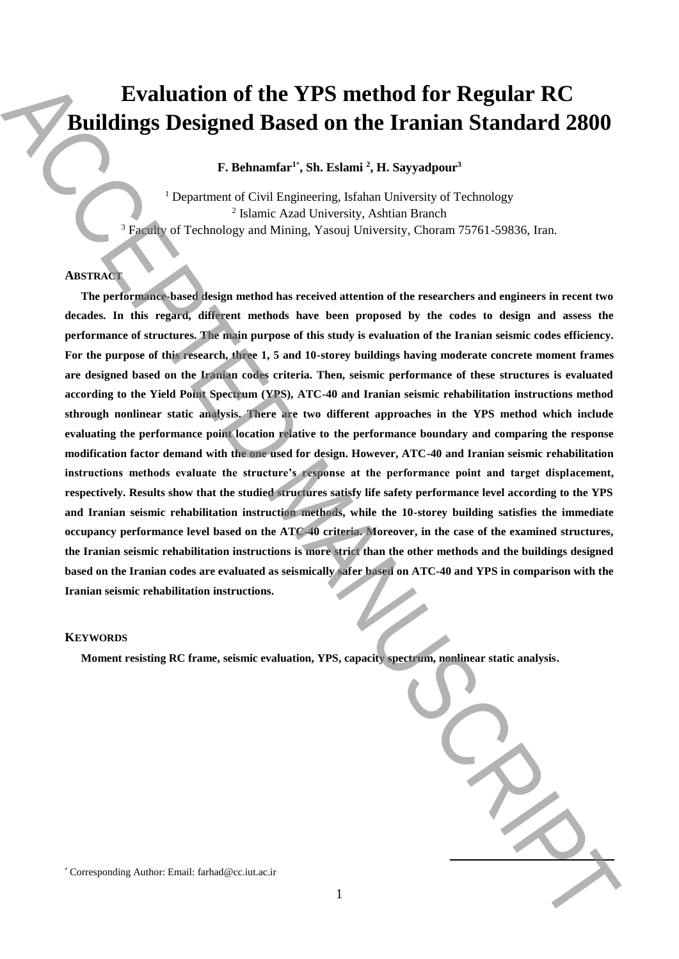# **Evaluation of the YPS method for Regular RC Buildings Designed Based on the Iranian Standard 2800**

**F. Behnamfar<sup>1</sup>**\* **, Sh. Eslami <sup>2</sup> , H. Sayyadpour<sup>3</sup>**

<sup>1</sup> Department of Civil Engineering, Isfahan University of Technology 2 Islamic Azad University, Ashtian Branch <sup>3</sup> Faculty of Technology and Mining, Yasouj University, Choram 75761-59836, Iran.

## **ABSTRACT**

**The performance-based design method has received attention of the researchers and engineers in recent two decades. In this regard, different methods have been proposed by the codes to design and assess the performance of structures. The main purpose of this study is evaluation of the Iranian seismic codes efficiency. For the purpose of this research, three 1, 5 and 10-storey buildings having moderate concrete moment frames are designed based on the Iranian codes criteria. Then, seismic performance of these structures is evaluated according to the Yield Point Spectrum (YPS), ATC-40 and Iranian seismic rehabilitation instructions method sthrough nonlinear static analysis. There are two different approaches in the YPS method which include evaluating the performance point location relative to the performance boundary and comparing the response modification factor demand with the one used for design. However, ATC-40 and Iranian seismic rehabilitation instructions methods evaluate the structure's response at the performance point and target displacement, respectively. Results show that the studied structures satisfy life safety performance level according to the YPS and Iranian seismic rehabilitation instruction methods, while the 10-storey building satisfies the immediate occupancy performance level based on the ATC-40 criteria. Moreover, in the case of the examined structures, the Iranian seismic rehabilitation instructions is more strict than the other methods and the buildings designed based on the Iranian codes are evaluated as seismically safer based on ATC-40 and YPS in comparison with the Iranian seismic rehabilitation instructions. Evaluation of the YPS method for Regular RC**<br>
Buildings Designed Based on the Iranian Standard 2800<br>
F. Behavania<sup>n</sup>: She Estamania National History of Technology<br>
<sup>1</sup> Deputron: of Corresponding Authority and the corresp

#### **KEYWORDS**

**Moment resisting RC frame, seismic evaluation, YPS, capacity spectrum, nonlinear static analysis.**

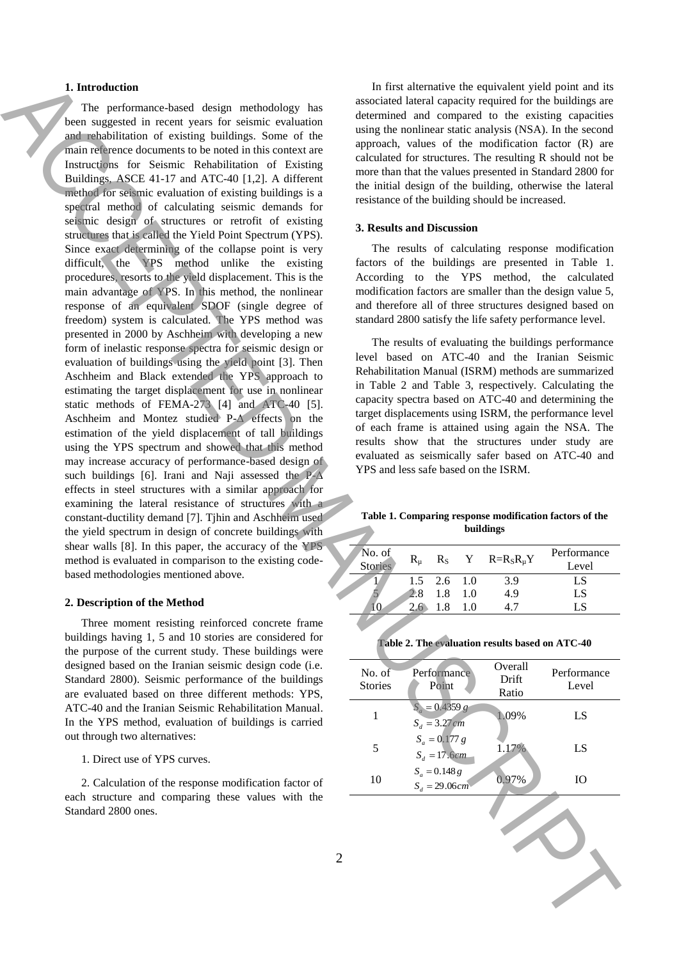## **1. Introduction**

The performance-based design methodology has been suggested in recent years for seismic evaluation and rehabilitation of existing buildings. Some of the main reference documents to be noted in this context are Instructions for Seismic Rehabilitation of Existing Buildings, ASCE 41-17 and ATC-40 [1,2]. A different method for seismic evaluation of existing buildings is a spectral method of calculating seismic demands for seismic design of structures or retrofit of existing structures that is called the Yield Point Spectrum (YPS). Since exact determining of the collapse point is very difficult, the YPS method unlike the existing procedures, resorts to the yield displacement. This is the main advantage of YPS. In this method, the nonlinear response of an equivalent SDOF (single degree of freedom) system is calculated. The YPS method was presented in 2000 by Aschheim with developing a new form of inelastic response spectra for seismic design or evaluation of buildings using the yield point [3]. Then Aschheim and Black extended the YPS approach to estimating the target displacement for use in nonlinear static methods of FEMA-273 [4] and ATC-40 [5]. Aschheim and Montez studied P- $\Lambda$  effects on the estimation of the yield displacement of tall buildings using the YPS spectrum and showed that this method may increase accuracy of performance-based design of such buildings [6]. Irani and Naji assessed the  $P-\Delta$ effects in steel structures with a similar approach for examining the lateral resistance of structures with a constant-ductility demand [7]. Tjhin and Aschheim used the yield spectrum in design of concrete buildings with shear walls [8]. In this paper, the accuracy of the YPS method is evaluated in comparison to the existing codebased methodologies mentioned above. 1. Interaction terms in each of each method is a second with the second with the second with the second with the second with the second with the second with the second with the second with the second with the second with

#### **2. Description of the Method**

Three moment resisting reinforced concrete frame buildings having 1, 5 and 10 stories are considered for the purpose of the current study. These buildings were designed based on the Iranian seismic design code (i.e. Standard 2800). Seismic performance of the buildings are evaluated based on three different methods: YPS, ATC-40 and the Iranian Seismic Rehabilitation Manual. In the YPS method, evaluation of buildings is carried out through two alternatives:

1. Direct use of YPS curves.

2. Calculation of the response modification factor of each structure and comparing these values with the Standard 2800 ones.

In first alternative the equivalent yield point and its associated lateral capacity required for the buildings are determined and compared to the existing capacities using the nonlinear static analysis (NSA). In the second approach, values of the modification factor (R) are calculated for structures. The resulting R should not be more than that the values presented in Standard 2800 for the initial design of the building, otherwise the lateral resistance of the building should be increased.

#### **3. Results and Discussion**

The results of calculating response modification factors of the buildings are presented in Table 1. According to the YPS method, the calculated modification factors are smaller than the design value 5, and therefore all of three structures designed based on standard 2800 satisfy the life safety performance level.

The results of evaluating the buildings performance level based on ATC-40 and the Iranian Seismic Rehabilitation Manual (ISRM) methods are summarized in Table 2 and Table 3, respectively. Calculating the capacity spectra based on ATC-40 and determining the target displacements using ISRM, the performance level of each frame is attained using again the NSA. The results show that the structures under study are evaluated as seismically safer based on ATC-40 and YPS and less safe based on the ISRM.

**Table 1. Comparing response modification factors of the buildings**

| No. of<br>Stories | $R_{\rm u}$ |               |     | $R_S$ Y $R=R_S R_\mu Y$ | Performance<br>Level |
|-------------------|-------------|---------------|-----|-------------------------|----------------------|
|                   |             | $1.5$ 2.6 1.0 |     | 3.9                     | LS                   |
|                   |             | 1.8           | 1.0 | 4.9                     | LS                   |
|                   | 26          | 18            |     |                         |                      |

| Table 2. The evaluation results based on ATC-40 |  |  |  |  |  |  |  |  |  |  |  |
|-------------------------------------------------|--|--|--|--|--|--|--|--|--|--|--|
|-------------------------------------------------|--|--|--|--|--|--|--|--|--|--|--|

| No. of<br><b>Stories</b> | Performance<br>Point                | Overall<br>Drift<br>Ratio | Performance<br>Level |
|--------------------------|-------------------------------------|---------------------------|----------------------|
|                          | $S_a = 0.4359 g$<br>$S_d = 3.27$ cm | 1.09%                     | LS                   |
| $\overline{\phantom{1}}$ | $S_a = 0.177 g$<br>$S_d = 17.6$ cm  | 1.17%                     | LS                   |
| 10                       | $S_a = 0.148 g$<br>$S_d = 29.06$ cm | 0.97%                     | Ю                    |